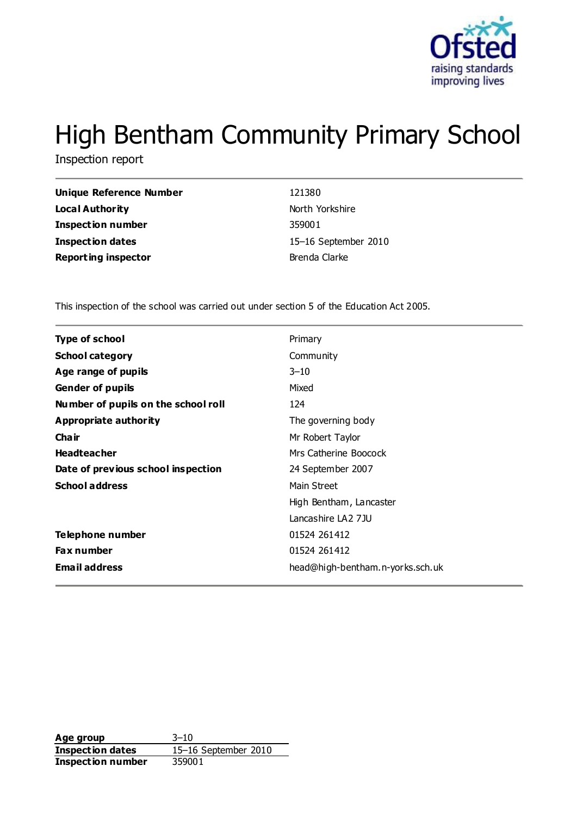

# High Bentham Community Primary School

Inspection report

| <b>Unique Reference Number</b> |
|--------------------------------|
| Local Authority                |
| <b>Inspection number</b>       |
| <b>Inspection dates</b>        |
| <b>Reporting inspector</b>     |

**Unique Reference Number** 121380 **North Yorkshire Inspection number** 359001 **Inspection dates** 15–16 September 2010 **Brenda Clarke** 

This inspection of the school was carried out under section 5 of the Education Act 2005.

| Type of school                      | Primary                          |
|-------------------------------------|----------------------------------|
| <b>School category</b>              | Community                        |
| Age range of pupils                 | $3 - 10$                         |
| <b>Gender of pupils</b>             | Mixed                            |
| Number of pupils on the school roll | 124                              |
| Appropriate authority               | The governing body               |
| Cha ir                              | Mr Robert Taylor                 |
| <b>Headteacher</b>                  | Mrs Catherine Boocock            |
| Date of previous school inspection  | 24 September 2007                |
| <b>School address</b>               | Main Street                      |
|                                     | High Bentham, Lancaster          |
|                                     | Lancashire LA2 7JU               |
| <b>Telephone number</b>             | 01524 261412                     |
| <b>Fax number</b>                   | 01524 261412                     |
| <b>Email address</b>                | head@high-bentham.n-yorks.sch.uk |

**Age group** 3–10 **Inspection dates** 15–16 September 2010 **Inspection number** 359001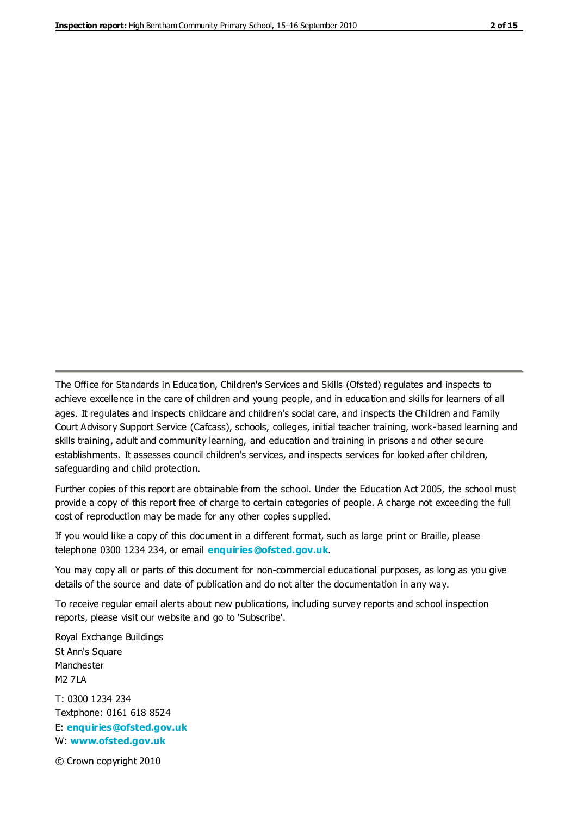The Office for Standards in Education, Children's Services and Skills (Ofsted) regulates and inspects to achieve excellence in the care of children and young people, and in education and skills for learners of all ages. It regulates and inspects childcare and children's social care, and inspects the Children and Family Court Advisory Support Service (Cafcass), schools, colleges, initial teacher training, work-based learning and skills training, adult and community learning, and education and training in prisons and other secure establishments. It assesses council children's services, and inspects services for looked after children, safeguarding and child protection.

Further copies of this report are obtainable from the school. Under the Education Act 2005, the school must provide a copy of this report free of charge to certain categories of people. A charge not exceeding the full cost of reproduction may be made for any other copies supplied.

If you would like a copy of this document in a different format, such as large print or Braille, please telephone 0300 1234 234, or email **[enquiries@ofsted.gov.uk](mailto:enquiries@ofsted.gov.uk)**.

You may copy all or parts of this document for non-commercial educational purposes, as long as you give details of the source and date of publication and do not alter the documentation in any way.

To receive regular email alerts about new publications, including survey reports and school inspection reports, please visit our website and go to 'Subscribe'.

Royal Exchange Buildings St Ann's Square Manchester M2 7LA T: 0300 1234 234 Textphone: 0161 618 8524 E: **[enquiries@ofsted.gov.uk](mailto:enquiries@ofsted.gov.uk)** W: **[www.ofsted.gov.uk](http://www.ofsted.gov.uk/)**

© Crown copyright 2010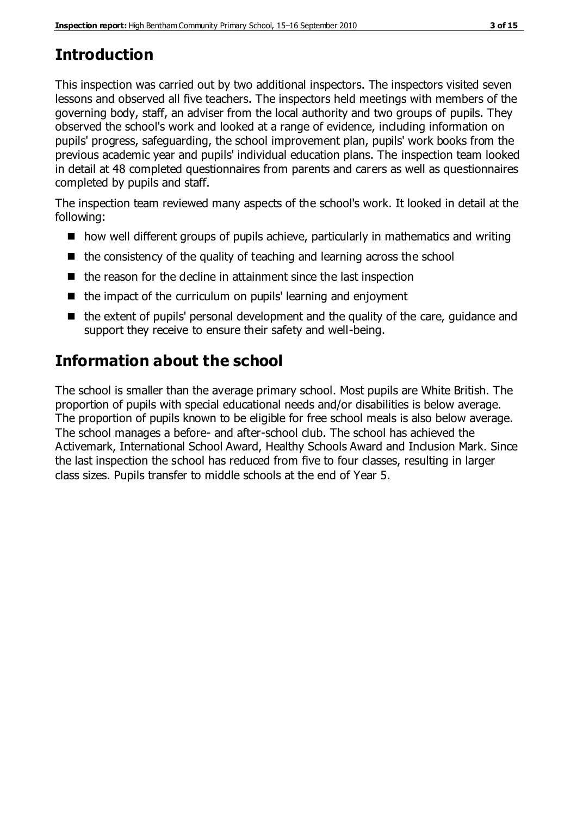# **Introduction**

This inspection was carried out by two additional inspectors. The inspectors visited seven lessons and observed all five teachers. The inspectors held meetings with members of the governing body, staff, an adviser from the local authority and two groups of pupils. They observed the school's work and looked at a range of evidence, including information on pupils' progress, safeguarding, the school improvement plan, pupils' work books from the previous academic year and pupils' individual education plans. The inspection team looked in detail at 48 completed questionnaires from parents and carers as well as questionnaires completed by pupils and staff.

The inspection team reviewed many aspects of the school's work. It looked in detail at the following:

- how well different groups of pupils achieve, particularly in mathematics and writing
- $\blacksquare$  the consistency of the quality of teaching and learning across the school
- $\blacksquare$  the reason for the decline in attainment since the last inspection
- $\blacksquare$  the impact of the curriculum on pupils' learning and enjoyment
- $\blacksquare$  the extent of pupils' personal development and the quality of the care, quidance and support they receive to ensure their safety and well-being.

# **Information about the school**

The school is smaller than the average primary school. Most pupils are White British. The proportion of pupils with special educational needs and/or disabilities is below average. The proportion of pupils known to be eligible for free school meals is also below average. The school manages a before- and after-school club. The school has achieved the Activemark, International School Award, Healthy Schools Award and Inclusion Mark. Since the last inspection the school has reduced from five to four classes, resulting in larger class sizes. Pupils transfer to middle schools at the end of Year 5.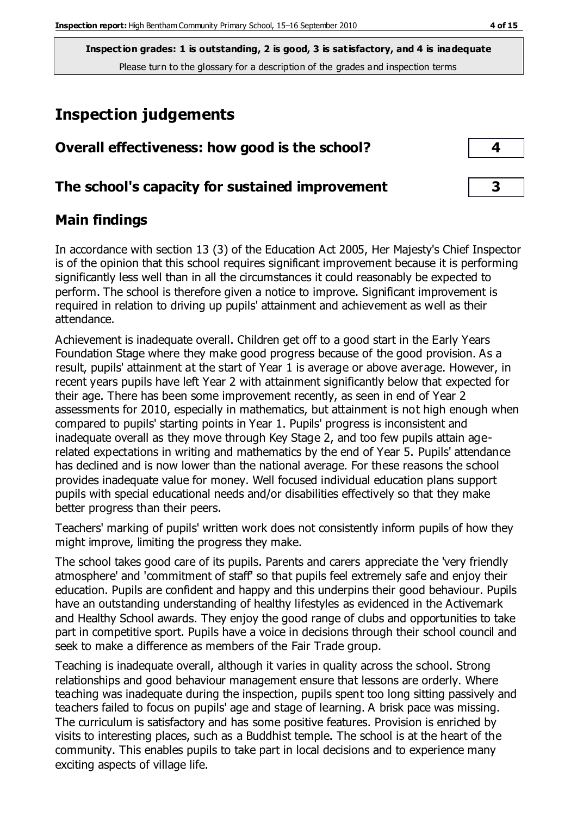# **Inspection judgements**

| Overall effectiveness: how good is the school?  |  |
|-------------------------------------------------|--|
| The school's capacity for sustained improvement |  |

## **Main findings**

In accordance with section 13 (3) of the Education Act 2005, Her Majesty's Chief Inspector is of the opinion that this school requires significant improvement because it is performing significantly less well than in all the circumstances it could reasonably be expected to perform. The school is therefore given a notice to improve. Significant improvement is required in relation to driving up pupils' attainment and achievement as well as their attendance.

Achievement is inadequate overall. Children get off to a good start in the Early Years Foundation Stage where they make good progress because of the good provision. As a result, pupils' attainment at the start of Year 1 is average or above average. However, in recent years pupils have left Year 2 with attainment significantly below that expected for their age. There has been some improvement recently, as seen in end of Year 2 assessments for 2010, especially in mathematics, but attainment is not high enough when compared to pupils' starting points in Year 1. Pupils' progress is inconsistent and inadequate overall as they move through Key Stage 2, and too few pupils attain agerelated expectations in writing and mathematics by the end of Year 5. Pupils' attendance has declined and is now lower than the national average. For these reasons the school provides inadequate value for money. Well focused individual education plans support pupils with special educational needs and/or disabilities effectively so that they make better progress than their peers.

Teachers' marking of pupils' written work does not consistently inform pupils of how they might improve, limiting the progress they make.

The school takes good care of its pupils. Parents and carers appreciate the 'very friendly atmosphere' and 'commitment of staff' so that pupils feel extremely safe and enjoy their education. Pupils are confident and happy and this underpins their good behaviour. Pupils have an outstanding understanding of healthy lifestyles as evidenced in the Activemark and Healthy School awards. They enjoy the good range of clubs and opportunities to take part in competitive sport. Pupils have a voice in decisions through their school council and seek to make a difference as members of the Fair Trade group.

Teaching is inadequate overall, although it varies in quality across the school. Strong relationships and good behaviour management ensure that lessons are orderly. Where teaching was inadequate during the inspection, pupils spent too long sitting passively and teachers failed to focus on pupils' age and stage of learning. A brisk pace was missing. The curriculum is satisfactory and has some positive features. Provision is enriched by visits to interesting places, such as a Buddhist temple. The school is at the heart of the community. This enables pupils to take part in local decisions and to experience many exciting aspects of village life.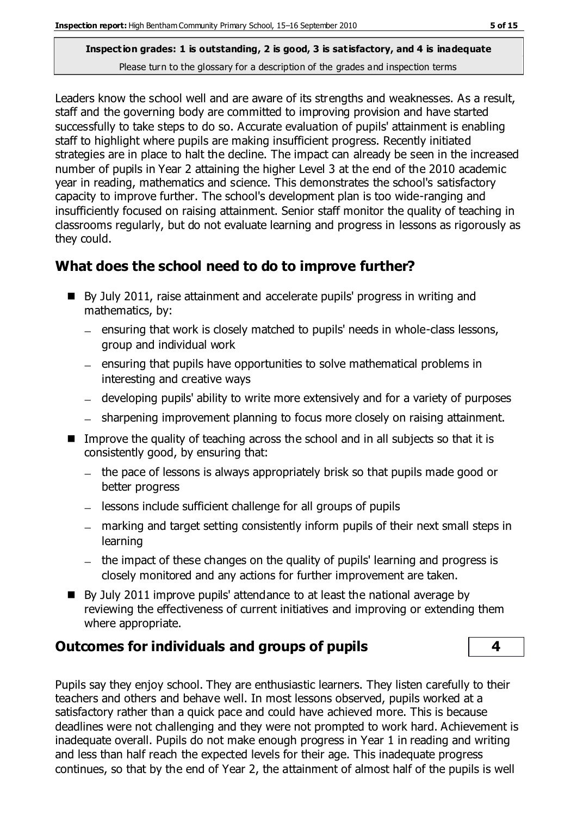Leaders know the school well and are aware of its strengths and weaknesses. As a result, staff and the governing body are committed to improving provision and have started successfully to take steps to do so. Accurate evaluation of pupils' attainment is enabling staff to highlight where pupils are making insufficient progress. Recently initiated strategies are in place to halt the decline. The impact can already be seen in the increased number of pupils in Year 2 attaining the higher Level 3 at the end of the 2010 academic year in reading, mathematics and science. This demonstrates the school's satisfactory capacity to improve further. The school's development plan is too wide-ranging and insufficiently focused on raising attainment. Senior staff monitor the quality of teaching in classrooms regularly, but do not evaluate learning and progress in lessons as rigorously as they could.

#### **What does the school need to do to improve further?**

- By July 2011, raise attainment and accelerate pupils' progress in writing and mathematics, by:
	- ensuring that work is closely matched to pupils' needs in whole-class lessons, group and individual work
	- ensuring that pupils have opportunities to solve mathematical problems in interesting and creative ways
	- developing pupils' ability to write more extensively and for a variety of purposes
	- sharpening improvement planning to focus more closely on raising attainment.
- Improve the quality of teaching across the school and in all subjects so that it is consistently good, by ensuring that:
	- the pace of lessons is always appropriately brisk so that pupils made good or better progress
	- $\overline{a}$  lessons include sufficient challenge for all groups of pupils
	- marking and target setting consistently inform pupils of their next small steps in learning
	- the impact of these changes on the quality of pupils' learning and progress is closely monitored and any actions for further improvement are taken.
- By July 2011 improve pupils' attendance to at least the national average by reviewing the effectiveness of current initiatives and improving or extending them where appropriate.

## **Outcomes for individuals and groups of pupils 4**

Pupils say they enjoy school. They are enthusiastic learners. They listen carefully to their teachers and others and behave well. In most lessons observed, pupils worked at a satisfactory rather than a quick pace and could have achieved more. This is because deadlines were not challenging and they were not prompted to work hard. Achievement is inadequate overall. Pupils do not make enough progress in Year 1 in reading and writing and less than half reach the expected levels for their age. This inadequate progress continues, so that by the end of Year 2, the attainment of almost half of the pupils is well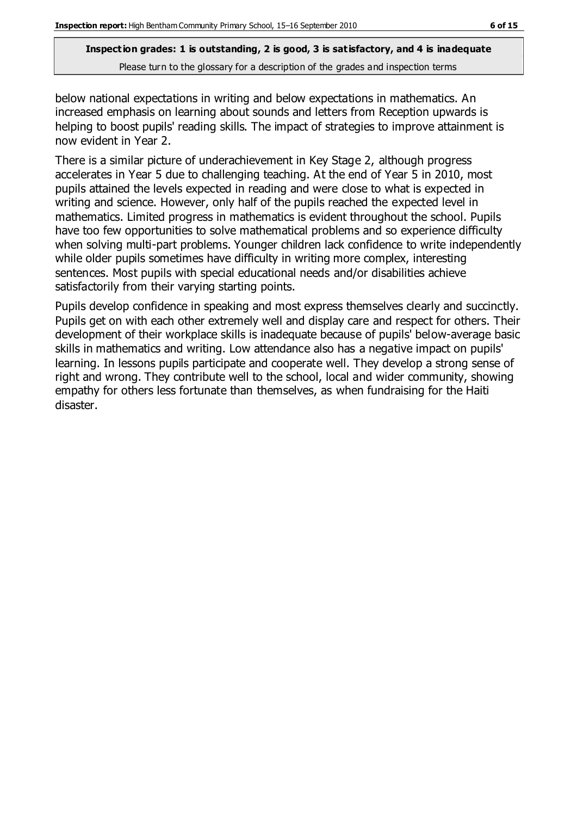below national expectations in writing and below expectations in mathematics. An increased emphasis on learning about sounds and letters from Reception upwards is helping to boost pupils' reading skills. The impact of strategies to improve attainment is now evident in Year 2.

There is a similar picture of underachievement in Key Stage 2, although progress accelerates in Year 5 due to challenging teaching. At the end of Year 5 in 2010, most pupils attained the levels expected in reading and were close to what is expected in writing and science. However, only half of the pupils reached the expected level in mathematics. Limited progress in mathematics is evident throughout the school. Pupils have too few opportunities to solve mathematical problems and so experience difficulty when solving multi-part problems. Younger children lack confidence to write independently while older pupils sometimes have difficulty in writing more complex, interesting sentences. Most pupils with special educational needs and/or disabilities achieve satisfactorily from their varying starting points.

Pupils develop confidence in speaking and most express themselves clearly and succinctly. Pupils get on with each other extremely well and display care and respect for others. Their development of their workplace skills is inadequate because of pupils' below-average basic skills in mathematics and writing. Low attendance also has a negative impact on pupils' learning. In lessons pupils participate and cooperate well. They develop a strong sense of right and wrong. They contribute well to the school, local and wider community, showing empathy for others less fortunate than themselves, as when fundraising for the Haiti disaster.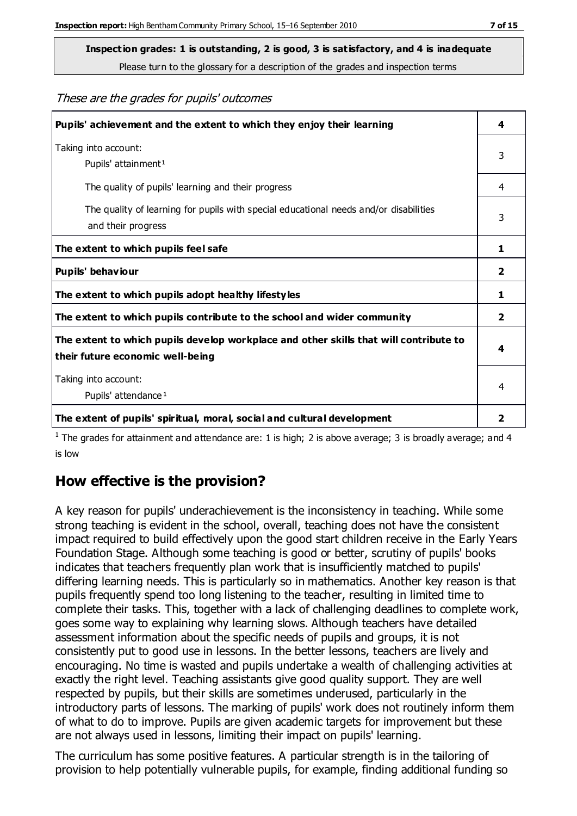**Inspection grades: 1 is outstanding, 2 is good, 3 is satisfactory, and 4 is inadequate**

Please turn to the glossary for a description of the grades and inspection terms

These are the grades for pupils' outcomes

| Pupils' achievement and the extent to which they enjoy their learning                                                     | 4              |
|---------------------------------------------------------------------------------------------------------------------------|----------------|
| Taking into account:<br>Pupils' attainment <sup>1</sup>                                                                   | 3              |
| The quality of pupils' learning and their progress                                                                        | 4              |
| The quality of learning for pupils with special educational needs and/or disabilities<br>and their progress               | 3              |
| The extent to which pupils feel safe                                                                                      | 1              |
| Pupils' behaviour                                                                                                         | 2              |
| The extent to which pupils adopt healthy lifestyles                                                                       | 1              |
| The extent to which pupils contribute to the school and wider community                                                   | $\overline{2}$ |
| The extent to which pupils develop workplace and other skills that will contribute to<br>their future economic well-being | 4              |
| Taking into account:<br>Pupils' attendance <sup>1</sup>                                                                   | 4              |
| The extent of pupils' spiritual, moral, social and cultural development                                                   | 2              |

<sup>1</sup> The grades for attainment and attendance are: 1 is high; 2 is above average; 3 is broadly average; and 4 is low

## **How effective is the provision?**

A key reason for pupils' underachievement is the inconsistency in teaching. While some strong teaching is evident in the school, overall, teaching does not have the consistent impact required to build effectively upon the good start children receive in the Early Years Foundation Stage. Although some teaching is good or better, scrutiny of pupils' books indicates that teachers frequently plan work that is insufficiently matched to pupils' differing learning needs. This is particularly so in mathematics. Another key reason is that pupils frequently spend too long listening to the teacher, resulting in limited time to complete their tasks. This, together with a lack of challenging deadlines to complete work, goes some way to explaining why learning slows. Although teachers have detailed assessment information about the specific needs of pupils and groups, it is not consistently put to good use in lessons. In the better lessons, teachers are lively and encouraging. No time is wasted and pupils undertake a wealth of challenging activities at exactly the right level. Teaching assistants give good quality support. They are well respected by pupils, but their skills are sometimes underused, particularly in the introductory parts of lessons. The marking of pupils' work does not routinely inform them of what to do to improve. Pupils are given academic targets for improvement but these are not always used in lessons, limiting their impact on pupils' learning.

The curriculum has some positive features. A particular strength is in the tailoring of provision to help potentially vulnerable pupils, for example, finding additional funding so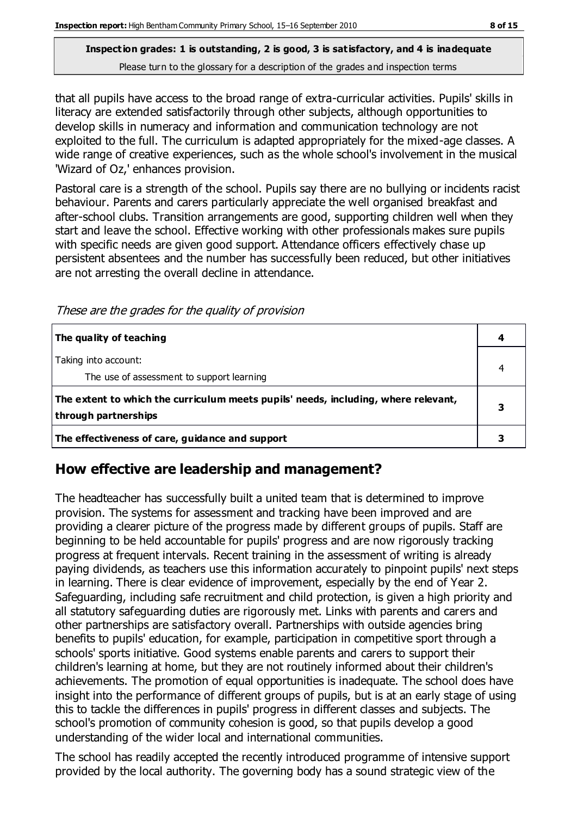that all pupils have access to the broad range of extra-curricular activities. Pupils' skills in literacy are extended satisfactorily through other subjects, although opportunities to develop skills in numeracy and information and communication technology are not exploited to the full. The curriculum is adapted appropriately for the mixed-age classes. A wide range of creative experiences, such as the whole school's involvement in the musical 'Wizard of Oz,' enhances provision.

Pastoral care is a strength of the school. Pupils say there are no bullying or incidents racist behaviour. Parents and carers particularly appreciate the well organised breakfast and after-school clubs. Transition arrangements are good, supporting children well when they start and leave the school. Effective working with other professionals makes sure pupils with specific needs are given good support. Attendance officers effectively chase up persistent absentees and the number has successfully been reduced, but other initiatives are not arresting the overall decline in attendance.

These are the grades for the quality of provision

| The quality of teaching                                                                                    |  |
|------------------------------------------------------------------------------------------------------------|--|
| Taking into account:<br>The use of assessment to support learning                                          |  |
| The extent to which the curriculum meets pupils' needs, including, where relevant,<br>through partnerships |  |
| The effectiveness of care, guidance and support                                                            |  |

## **How effective are leadership and management?**

The headteacher has successfully built a united team that is determined to improve provision. The systems for assessment and tracking have been improved and are providing a clearer picture of the progress made by different groups of pupils. Staff are beginning to be held accountable for pupils' progress and are now rigorously tracking progress at frequent intervals. Recent training in the assessment of writing is already paying dividends, as teachers use this information accurately to pinpoint pupils' next steps in learning. There is clear evidence of improvement, especially by the end of Year 2. Safeguarding, including safe recruitment and child protection, is given a high priority and all statutory safeguarding duties are rigorously met. Links with parents and carers and other partnerships are satisfactory overall. Partnerships with outside agencies bring benefits to pupils' education, for example, participation in competitive sport through a schools' sports initiative. Good systems enable parents and carers to support their children's learning at home, but they are not routinely informed about their children's achievements. The promotion of equal opportunities is inadequate. The school does have insight into the performance of different groups of pupils, but is at an early stage of using this to tackle the differences in pupils' progress in different classes and subjects. The school's promotion of community cohesion is good, so that pupils develop a good understanding of the wider local and international communities.

The school has readily accepted the recently introduced programme of intensive support provided by the local authority. The governing body has a sound strategic view of the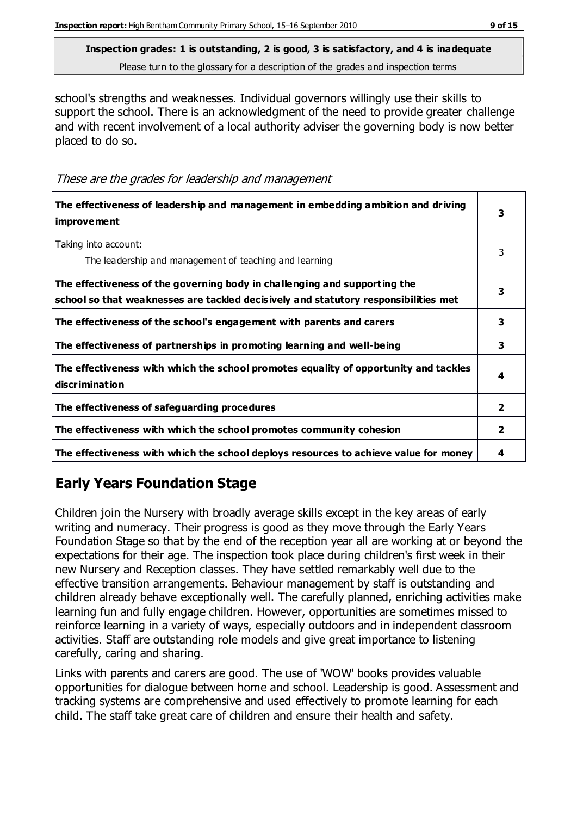school's strengths and weaknesses. Individual governors willingly use their skills to support the school. There is an acknowledgment of the need to provide greater challenge and with recent involvement of a local authority adviser the governing body is now better placed to do so.

These are the grades for leadership and management

| The effectiveness of leadership and management in embedding ambition and driving<br><i>improvement</i>                                                           |                |
|------------------------------------------------------------------------------------------------------------------------------------------------------------------|----------------|
| Taking into account:<br>The leadership and management of teaching and learning                                                                                   | 3              |
| The effectiveness of the governing body in challenging and supporting the<br>school so that weaknesses are tackled decisively and statutory responsibilities met | 3              |
| The effectiveness of the school's engagement with parents and carers                                                                                             | 3              |
| The effectiveness of partnerships in promoting learning and well-being                                                                                           | 3              |
| The effectiveness with which the school promotes equality of opportunity and tackles<br>discrimination                                                           | 4              |
| The effectiveness of safeguarding procedures                                                                                                                     | $\overline{2}$ |
| The effectiveness with which the school promotes community cohesion                                                                                              | 2              |
| The effectiveness with which the school deploys resources to achieve value for money                                                                             | 4              |

## **Early Years Foundation Stage**

Children join the Nursery with broadly average skills except in the key areas of early writing and numeracy. Their progress is good as they move through the Early Years Foundation Stage so that by the end of the reception year all are working at or beyond the expectations for their age. The inspection took place during children's first week in their new Nursery and Reception classes. They have settled remarkably well due to the effective transition arrangements. Behaviour management by staff is outstanding and children already behave exceptionally well. The carefully planned, enriching activities make learning fun and fully engage children. However, opportunities are sometimes missed to reinforce learning in a variety of ways, especially outdoors and in independent classroom activities. Staff are outstanding role models and give great importance to listening carefully, caring and sharing.

Links with parents and carers are good. The use of 'WOW' books provides valuable opportunities for dialogue between home and school. Leadership is good. Assessment and tracking systems are comprehensive and used effectively to promote learning for each child. The staff take great care of children and ensure their health and safety.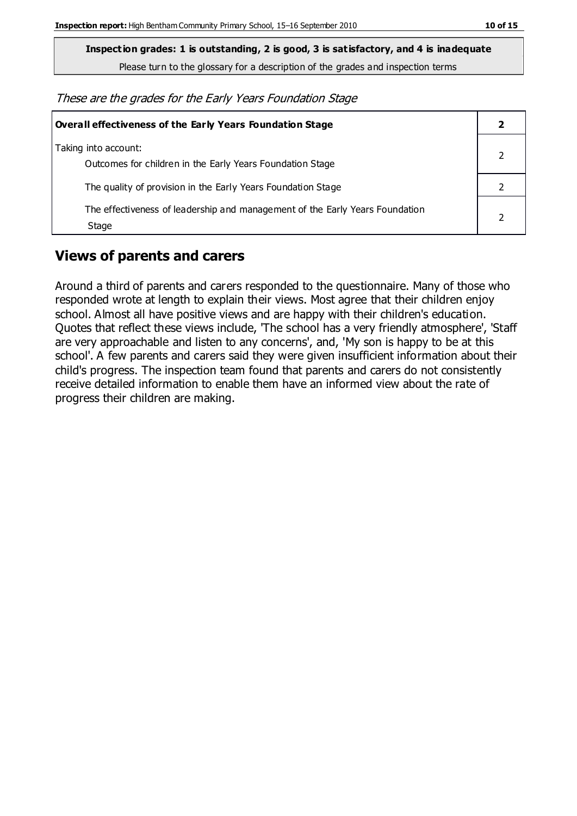**Inspection grades: 1 is outstanding, 2 is good, 3 is satisfactory, and 4 is inadequate**

Please turn to the glossary for a description of the grades and inspection terms

These are the grades for the Early Years Foundation Stage

| Overall effectiveness of the Early Years Foundation Stage                             |  |
|---------------------------------------------------------------------------------------|--|
| Taking into account:<br>Outcomes for children in the Early Years Foundation Stage     |  |
| The quality of provision in the Early Years Foundation Stage                          |  |
| The effectiveness of leadership and management of the Early Years Foundation<br>Stage |  |

#### **Views of parents and carers**

Around a third of parents and carers responded to the questionnaire. Many of those who responded wrote at length to explain their views. Most agree that their children enjoy school. Almost all have positive views and are happy with their children's education. Quotes that reflect these views include, 'The school has a very friendly atmosphere', 'Staff are very approachable and listen to any concerns', and, 'My son is happy to be at this school'. A few parents and carers said they were given insufficient information about their child's progress. The inspection team found that parents and carers do not consistently receive detailed information to enable them have an informed view about the rate of progress their children are making.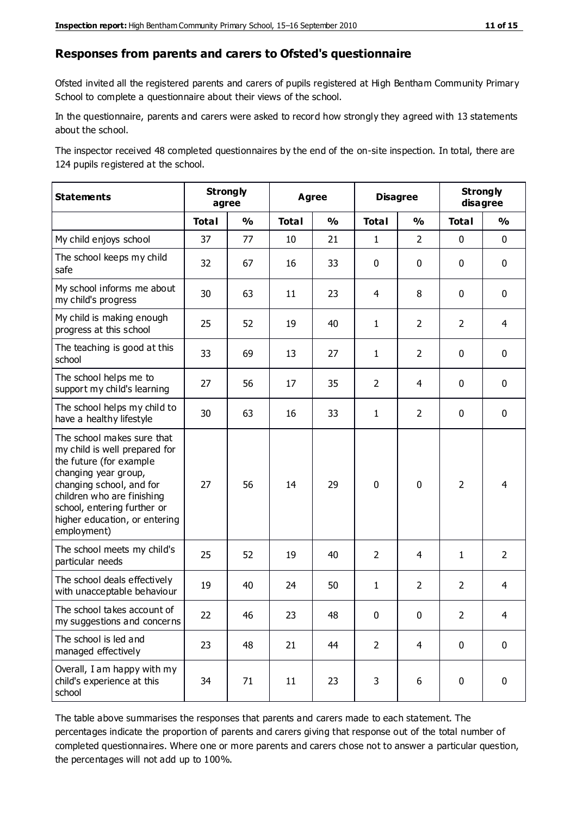#### **Responses from parents and carers to Ofsted's questionnaire**

Ofsted invited all the registered parents and carers of pupils registered at High Bentham Community Primary School to complete a questionnaire about their views of the school.

In the questionnaire, parents and carers were asked to record how strongly they agreed with 13 statements about the school.

The inspector received 48 completed questionnaires by the end of the on-site inspection. In total, there are 124 pupils registered at the school.

| <b>Statements</b>                                                                                                                                                                                                                                       | <b>Strongly</b><br>agree |               | Agree        |               | <b>Disagree</b> |                | <b>Strongly</b><br>disagree |                |
|---------------------------------------------------------------------------------------------------------------------------------------------------------------------------------------------------------------------------------------------------------|--------------------------|---------------|--------------|---------------|-----------------|----------------|-----------------------------|----------------|
|                                                                                                                                                                                                                                                         | <b>Total</b>             | $\frac{1}{2}$ | <b>Total</b> | $\frac{1}{2}$ | <b>Total</b>    | $\frac{0}{0}$  | <b>Total</b>                | $\frac{0}{0}$  |
| My child enjoys school                                                                                                                                                                                                                                  | 37                       | 77            | 10           | 21            | $\mathbf{1}$    | $\overline{2}$ | $\mathbf 0$                 | $\mathbf 0$    |
| The school keeps my child<br>safe                                                                                                                                                                                                                       | 32                       | 67            | 16           | 33            | 0               | $\mathbf 0$    | $\mathbf 0$                 | $\mathbf 0$    |
| My school informs me about<br>my child's progress                                                                                                                                                                                                       | 30                       | 63            | 11           | 23            | 4               | 8              | $\mathbf 0$                 | $\mathbf 0$    |
| My child is making enough<br>progress at this school                                                                                                                                                                                                    | 25                       | 52            | 19           | 40            | $\mathbf{1}$    | $\overline{2}$ | $\overline{2}$              | $\overline{4}$ |
| The teaching is good at this<br>school                                                                                                                                                                                                                  | 33                       | 69            | 13           | 27            | $\mathbf{1}$    | $\overline{2}$ | 0                           | $\mathbf 0$    |
| The school helps me to<br>support my child's learning                                                                                                                                                                                                   | 27                       | 56            | 17           | 35            | $\overline{2}$  | 4              | $\mathbf 0$                 | $\mathbf 0$    |
| The school helps my child to<br>have a healthy lifestyle                                                                                                                                                                                                | 30                       | 63            | 16           | 33            | 1               | $\overline{2}$ | $\mathbf 0$                 | $\mathbf 0$    |
| The school makes sure that<br>my child is well prepared for<br>the future (for example<br>changing year group,<br>changing school, and for<br>children who are finishing<br>school, entering further or<br>higher education, or entering<br>employment) | 27                       | 56            | 14           | 29            | $\mathbf 0$     | $\mathbf 0$    | $\overline{2}$              | $\overline{4}$ |
| The school meets my child's<br>particular needs                                                                                                                                                                                                         | 25                       | 52            | 19           | 40            | $\overline{2}$  | 4              | $\mathbf{1}$                | $\overline{2}$ |
| The school deals effectively<br>with unacceptable behaviour                                                                                                                                                                                             | 19                       | 40            | 24           | 50            | $\mathbf{1}$    | $\overline{2}$ | $\overline{2}$              | $\overline{4}$ |
| The school takes account of<br>my suggestions and concerns                                                                                                                                                                                              | 22                       | 46            | 23           | 48            | $\mathbf{0}$    | $\mathbf{0}$   | $\overline{2}$              | 4              |
| The school is led and<br>managed effectively                                                                                                                                                                                                            | 23                       | 48            | 21           | 44            | $\overline{2}$  | $\overline{4}$ | $\mathbf 0$                 | $\mathbf 0$    |
| Overall, I am happy with my<br>child's experience at this<br>school                                                                                                                                                                                     | 34                       | 71            | 11           | 23            | 3               | 6              | $\mathbf 0$                 | $\pmb{0}$      |

The table above summarises the responses that parents and carers made to each statement. The percentages indicate the proportion of parents and carers giving that response out of the total number of completed questionnaires. Where one or more parents and carers chose not to answer a particular question, the percentages will not add up to 100%.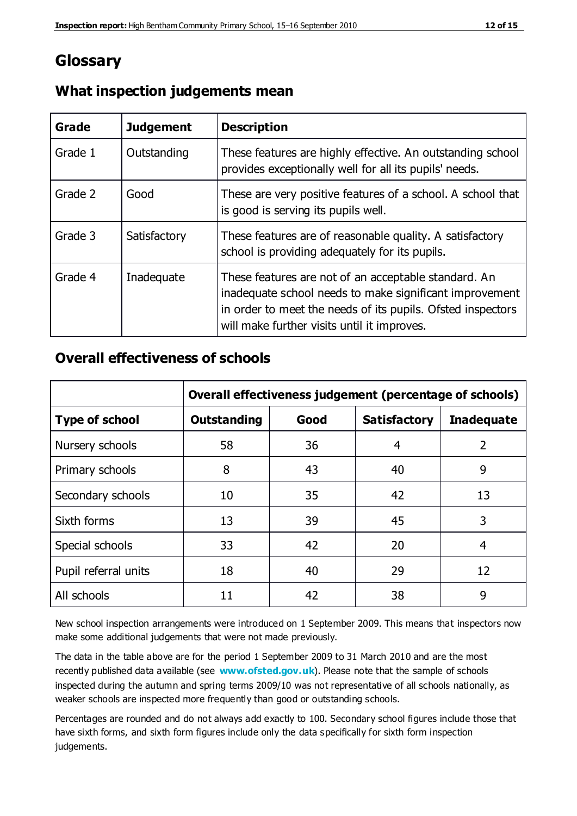## **Glossary**

| Grade   | <b>Judgement</b> | <b>Description</b>                                                                                                                                                                                                            |
|---------|------------------|-------------------------------------------------------------------------------------------------------------------------------------------------------------------------------------------------------------------------------|
| Grade 1 | Outstanding      | These features are highly effective. An outstanding school<br>provides exceptionally well for all its pupils' needs.                                                                                                          |
| Grade 2 | Good             | These are very positive features of a school. A school that<br>is good is serving its pupils well.                                                                                                                            |
| Grade 3 | Satisfactory     | These features are of reasonable quality. A satisfactory<br>school is providing adequately for its pupils.                                                                                                                    |
| Grade 4 | Inadequate       | These features are not of an acceptable standard. An<br>inadequate school needs to make significant improvement<br>in order to meet the needs of its pupils. Ofsted inspectors<br>will make further visits until it improves. |

#### **What inspection judgements mean**

#### **Overall effectiveness of schools**

|                       | Overall effectiveness judgement (percentage of schools) |      |                     |                   |
|-----------------------|---------------------------------------------------------|------|---------------------|-------------------|
| <b>Type of school</b> | <b>Outstanding</b>                                      | Good | <b>Satisfactory</b> | <b>Inadequate</b> |
| Nursery schools       | 58                                                      | 36   | 4                   | 2                 |
| Primary schools       | 8                                                       | 43   | 40                  | 9                 |
| Secondary schools     | 10                                                      | 35   | 42                  | 13                |
| Sixth forms           | 13                                                      | 39   | 45                  | 3                 |
| Special schools       | 33                                                      | 42   | 20                  | 4                 |
| Pupil referral units  | 18                                                      | 40   | 29                  | 12                |
| All schools           | 11                                                      | 42   | 38                  | 9                 |

New school inspection arrangements were introduced on 1 September 2009. This means that inspectors now make some additional judgements that were not made previously.

The data in the table above are for the period 1 September 2009 to 31 March 2010 and are the most recently published data available (see **[www.ofsted.gov.uk](http://www.ofsted.gov.uk/)**). Please note that the sample of schools inspected during the autumn and spring terms 2009/10 was not representative of all schools nationally, as weaker schools are inspected more frequently than good or outstanding schools.

Percentages are rounded and do not always add exactly to 100. Secondary school figures include those that have sixth forms, and sixth form figures include only the data specifically for sixth form inspection judgements.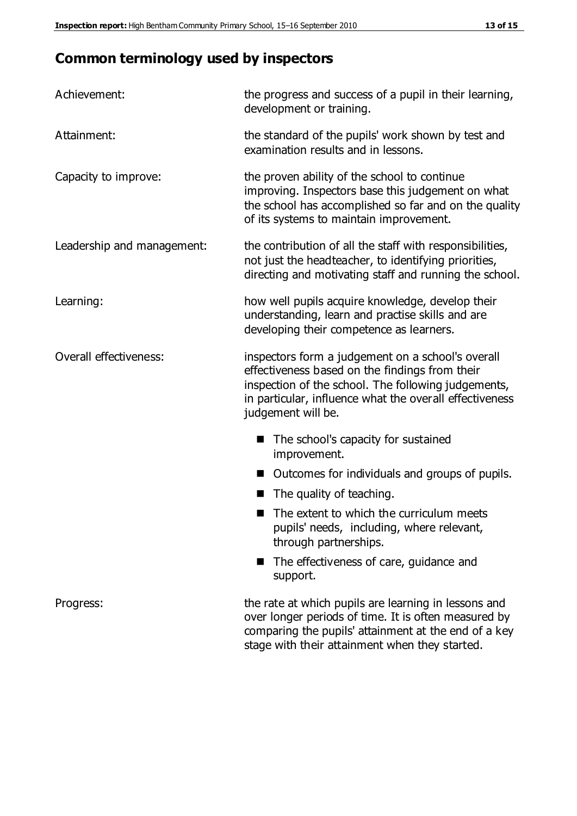# **Common terminology used by inspectors**

| Achievement:               | the progress and success of a pupil in their learning,<br>development or training.                                                                                                                                                          |  |  |
|----------------------------|---------------------------------------------------------------------------------------------------------------------------------------------------------------------------------------------------------------------------------------------|--|--|
| Attainment:                | the standard of the pupils' work shown by test and<br>examination results and in lessons.                                                                                                                                                   |  |  |
| Capacity to improve:       | the proven ability of the school to continue<br>improving. Inspectors base this judgement on what<br>the school has accomplished so far and on the quality<br>of its systems to maintain improvement.                                       |  |  |
| Leadership and management: | the contribution of all the staff with responsibilities,<br>not just the headteacher, to identifying priorities,<br>directing and motivating staff and running the school.                                                                  |  |  |
| Learning:                  | how well pupils acquire knowledge, develop their<br>understanding, learn and practise skills and are<br>developing their competence as learners.                                                                                            |  |  |
| Overall effectiveness:     | inspectors form a judgement on a school's overall<br>effectiveness based on the findings from their<br>inspection of the school. The following judgements,<br>in particular, influence what the overall effectiveness<br>judgement will be. |  |  |
|                            | The school's capacity for sustained<br>improvement.                                                                                                                                                                                         |  |  |
|                            | Outcomes for individuals and groups of pupils.                                                                                                                                                                                              |  |  |
|                            | The quality of teaching.                                                                                                                                                                                                                    |  |  |
|                            | The extent to which the curriculum meets<br>pupils' needs, including, where relevant,<br>through partnerships.                                                                                                                              |  |  |
|                            | The effectiveness of care, guidance and<br>support.                                                                                                                                                                                         |  |  |
| Progress:                  | the rate at which pupils are learning in lessons and<br>over longer periods of time. It is often measured by<br>comparing the pupils' attainment at the end of a key                                                                        |  |  |

stage with their attainment when they started.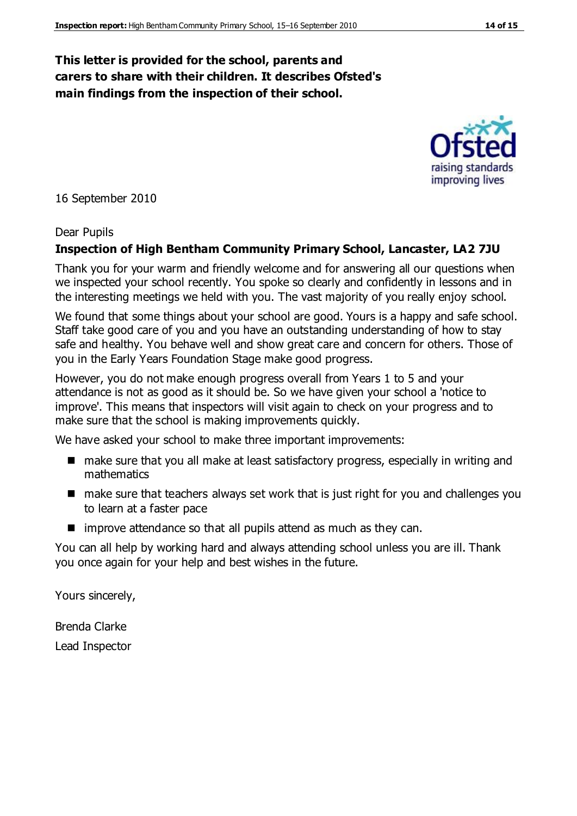#### **This letter is provided for the school, parents and carers to share with their children. It describes Ofsted's main findings from the inspection of their school.**

16 September 2010

#### Dear Pupils

#### **Inspection of High Bentham Community Primary School, Lancaster, LA2 7JU**

Thank you for your warm and friendly welcome and for answering all our questions when we inspected your school recently. You spoke so clearly and confidently in lessons and in the interesting meetings we held with you. The vast majority of you really enjoy school.

We found that some things about your school are good. Yours is a happy and safe school. Staff take good care of you and you have an outstanding understanding of how to stay safe and healthy. You behave well and show great care and concern for others. Those of you in the Early Years Foundation Stage make good progress.

However, you do not make enough progress overall from Years 1 to 5 and your attendance is not as good as it should be. So we have given your school a 'notice to improve'. This means that inspectors will visit again to check on your progress and to make sure that the school is making improvements quickly.

We have asked your school to make three important improvements:

- make sure that you all make at least satisfactory progress, especially in writing and mathematics
- make sure that teachers always set work that is just right for you and challenges you to learn at a faster pace
- $\blacksquare$  improve attendance so that all pupils attend as much as they can.

You can all help by working hard and always attending school unless you are ill. Thank you once again for your help and best wishes in the future.

Yours sincerely,

Brenda Clarke Lead Inspector